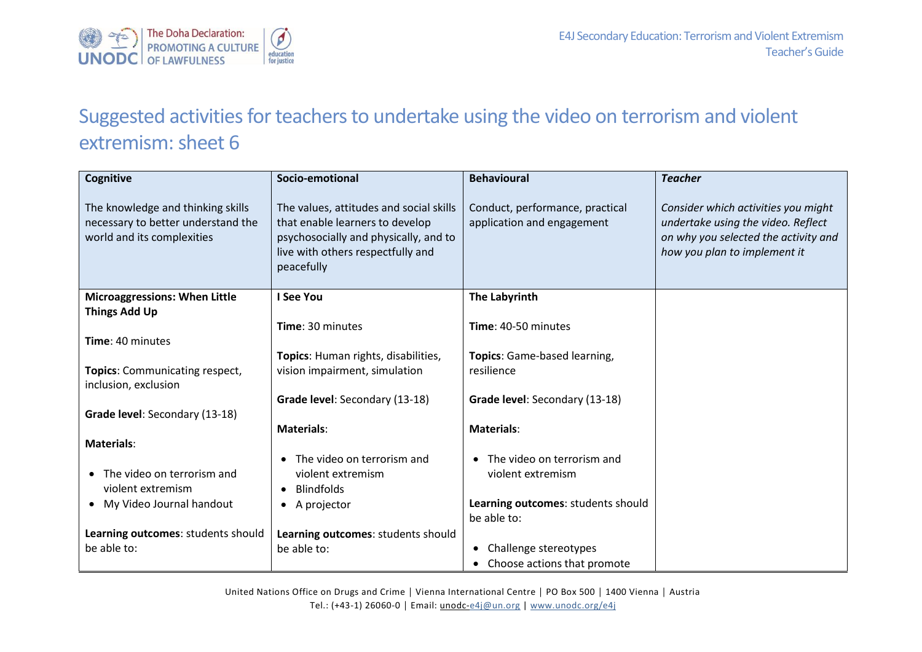

## Suggested activities for teachers to undertake using the video on terrorism and violent extremism: sheet 6

| Cognitive                                                                                             | Socio-emotional                                                                                                                                                        | <b>Behavioural</b>                                            | <b>Teacher</b>                                                                                                                                    |
|-------------------------------------------------------------------------------------------------------|------------------------------------------------------------------------------------------------------------------------------------------------------------------------|---------------------------------------------------------------|---------------------------------------------------------------------------------------------------------------------------------------------------|
| The knowledge and thinking skills<br>necessary to better understand the<br>world and its complexities | The values, attitudes and social skills<br>that enable learners to develop<br>psychosocially and physically, and to<br>live with others respectfully and<br>peacefully | Conduct, performance, practical<br>application and engagement | Consider which activities you might<br>undertake using the video. Reflect<br>on why you selected the activity and<br>how you plan to implement it |
| <b>Microaggressions: When Little</b>                                                                  | I See You                                                                                                                                                              | The Labyrinth                                                 |                                                                                                                                                   |
| <b>Things Add Up</b>                                                                                  |                                                                                                                                                                        |                                                               |                                                                                                                                                   |
|                                                                                                       | Time: 30 minutes                                                                                                                                                       | Time: 40-50 minutes                                           |                                                                                                                                                   |
| Time: 40 minutes                                                                                      |                                                                                                                                                                        |                                                               |                                                                                                                                                   |
|                                                                                                       | Topics: Human rights, disabilities,                                                                                                                                    | Topics: Game-based learning,                                  |                                                                                                                                                   |
| Topics: Communicating respect,<br>inclusion, exclusion                                                | vision impairment, simulation                                                                                                                                          | resilience                                                    |                                                                                                                                                   |
|                                                                                                       | Grade level: Secondary (13-18)                                                                                                                                         | Grade level: Secondary (13-18)                                |                                                                                                                                                   |
| Grade level: Secondary (13-18)                                                                        |                                                                                                                                                                        |                                                               |                                                                                                                                                   |
|                                                                                                       | <b>Materials:</b>                                                                                                                                                      | <b>Materials:</b>                                             |                                                                                                                                                   |
| <b>Materials:</b>                                                                                     |                                                                                                                                                                        |                                                               |                                                                                                                                                   |
|                                                                                                       | The video on terrorism and                                                                                                                                             | The video on terrorism and                                    |                                                                                                                                                   |
| The video on terrorism and<br>$\bullet$                                                               | violent extremism                                                                                                                                                      | violent extremism                                             |                                                                                                                                                   |
| violent extremism                                                                                     | <b>Blindfolds</b><br>$\bullet$                                                                                                                                         |                                                               |                                                                                                                                                   |
| • My Video Journal handout                                                                            | A projector                                                                                                                                                            | Learning outcomes: students should                            |                                                                                                                                                   |
|                                                                                                       |                                                                                                                                                                        | be able to:                                                   |                                                                                                                                                   |
| Learning outcomes: students should                                                                    | Learning outcomes: students should                                                                                                                                     |                                                               |                                                                                                                                                   |
| be able to:                                                                                           | be able to:                                                                                                                                                            | Challenge stereotypes<br>$\bullet$                            |                                                                                                                                                   |
|                                                                                                       |                                                                                                                                                                        | Choose actions that promote                                   |                                                                                                                                                   |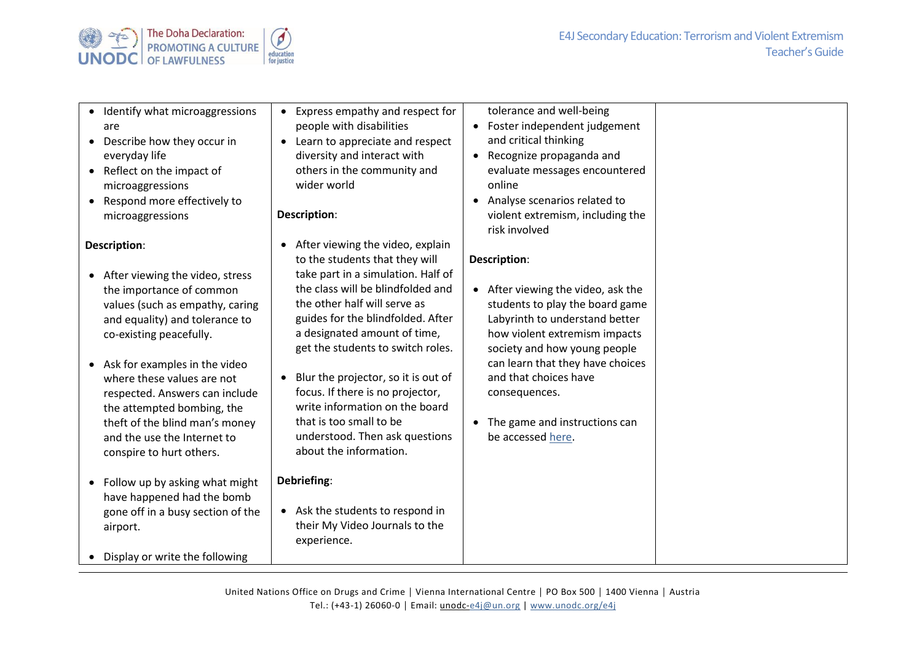

| • Identify what microaggressions<br>are<br>Describe how they occur in<br>$\bullet$<br>everyday life<br>• Reflect on the impact of<br>microaggressions<br>• Respond more effectively to<br>microaggressions                                                                                                                                                                                                  | Express empathy and respect for<br>people with disabilities<br>Learn to appreciate and respect<br>diversity and interact with<br>others in the community and<br>wider world<br>Description:                                                                                                                                                                                                                                                                                                              | tolerance and well-being<br>Foster independent judgement<br>$\bullet$<br>and critical thinking<br>• Recognize propaganda and<br>evaluate messages encountered<br>online<br>Analyse scenarios related to<br>$\bullet$<br>violent extremism, including the<br>risk involved                                                      |
|-------------------------------------------------------------------------------------------------------------------------------------------------------------------------------------------------------------------------------------------------------------------------------------------------------------------------------------------------------------------------------------------------------------|----------------------------------------------------------------------------------------------------------------------------------------------------------------------------------------------------------------------------------------------------------------------------------------------------------------------------------------------------------------------------------------------------------------------------------------------------------------------------------------------------------|--------------------------------------------------------------------------------------------------------------------------------------------------------------------------------------------------------------------------------------------------------------------------------------------------------------------------------|
| Description:<br>• After viewing the video, stress<br>the importance of common<br>values (such as empathy, caring<br>and equality) and tolerance to<br>co-existing peacefully.<br>• Ask for examples in the video<br>where these values are not<br>respected. Answers can include<br>the attempted bombing, the<br>theft of the blind man's money<br>and the use the Internet to<br>conspire to hurt others. | After viewing the video, explain<br>to the students that they will<br>take part in a simulation. Half of<br>the class will be blindfolded and<br>the other half will serve as<br>guides for the blindfolded. After<br>a designated amount of time,<br>get the students to switch roles.<br>Blur the projector, so it is out of<br>$\bullet$<br>focus. If there is no projector,<br>write information on the board<br>that is too small to be<br>understood. Then ask questions<br>about the information. | Description:<br>• After viewing the video, ask the<br>students to play the board game<br>Labyrinth to understand better<br>how violent extremism impacts<br>society and how young people<br>can learn that they have choices<br>and that choices have<br>consequences.<br>• The game and instructions can<br>be accessed here. |
| Follow up by asking what might<br>$\bullet$<br>have happened had the bomb<br>gone off in a busy section of the<br>airport.<br>Display or write the following                                                                                                                                                                                                                                                | Debriefing:<br>• Ask the students to respond in<br>their My Video Journals to the<br>experience.                                                                                                                                                                                                                                                                                                                                                                                                         |                                                                                                                                                                                                                                                                                                                                |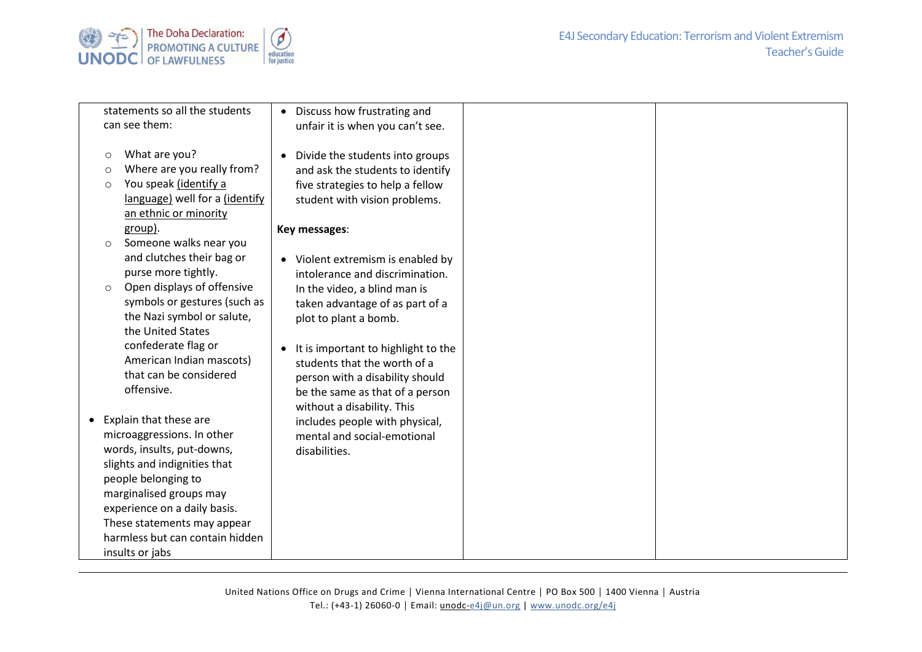

|         | statements so all the students  | Discuss how frustrating and<br>$\bullet$         |
|---------|---------------------------------|--------------------------------------------------|
|         | can see them:                   | unfair it is when you can't see.                 |
|         |                                 |                                                  |
| $\circ$ | What are you?                   | Divide the students into groups<br>$\bullet$     |
| $\circ$ | Where are you really from?      | and ask the students to identify                 |
| $\circ$ | You speak (identify a           | five strategies to help a fellow                 |
|         | language) well for a (identify  | student with vision problems.                    |
|         | an ethnic or minority           |                                                  |
|         | group).                         | Key messages:                                    |
| $\circ$ | Someone walks near you          |                                                  |
|         | and clutches their bag or       | Violent extremism is enabled by                  |
|         | purse more tightly.             | intolerance and discrimination.                  |
| $\circ$ | Open displays of offensive      | In the video, a blind man is                     |
|         | symbols or gestures (such as    | taken advantage of as part of a                  |
|         | the Nazi symbol or salute,      | plot to plant a bomb.                            |
|         | the United States               |                                                  |
|         | confederate flag or             | It is important to highlight to the<br>$\bullet$ |
|         | American Indian mascots)        | students that the worth of a                     |
|         | that can be considered          | person with a disability should                  |
|         | offensive.                      | be the same as that of a person                  |
|         |                                 | without a disability. This                       |
|         | • Explain that these are        | includes people with physical,                   |
|         | microaggressions. In other      | mental and social-emotional                      |
|         | words, insults, put-downs,      | disabilities.                                    |
|         | slights and indignities that    |                                                  |
|         | people belonging to             |                                                  |
|         | marginalised groups may         |                                                  |
|         | experience on a daily basis.    |                                                  |
|         | These statements may appear     |                                                  |
|         | harmless but can contain hidden |                                                  |
|         | insults or jabs                 |                                                  |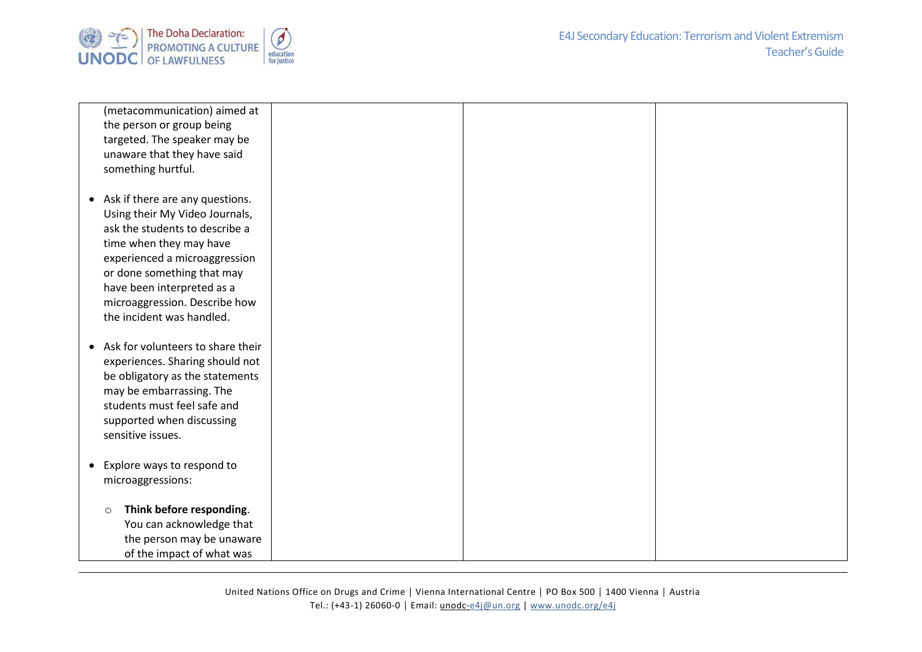

| (metacommunication) aimed at                            |  |  |
|---------------------------------------------------------|--|--|
| the person or group being                               |  |  |
| targeted. The speaker may be                            |  |  |
| unaware that they have said                             |  |  |
| something hurtful.                                      |  |  |
|                                                         |  |  |
| • Ask if there are any questions.                       |  |  |
| Using their My Video Journals,                          |  |  |
| ask the students to describe a                          |  |  |
| time when they may have                                 |  |  |
| experienced a microaggression                           |  |  |
| or done something that may                              |  |  |
| have been interpreted as a                              |  |  |
| microaggression. Describe how                           |  |  |
| the incident was handled.                               |  |  |
|                                                         |  |  |
| Ask for volunteers to share their                       |  |  |
| experiences. Sharing should not                         |  |  |
| be obligatory as the statements                         |  |  |
|                                                         |  |  |
| may be embarrassing. The<br>students must feel safe and |  |  |
|                                                         |  |  |
| supported when discussing                               |  |  |
| sensitive issues.                                       |  |  |
|                                                         |  |  |
| • Explore ways to respond to                            |  |  |
| microaggressions:                                       |  |  |
|                                                         |  |  |
| Think before responding.<br>$\circ$                     |  |  |
| You can acknowledge that                                |  |  |
| the person may be unaware                               |  |  |
| of the impact of what was                               |  |  |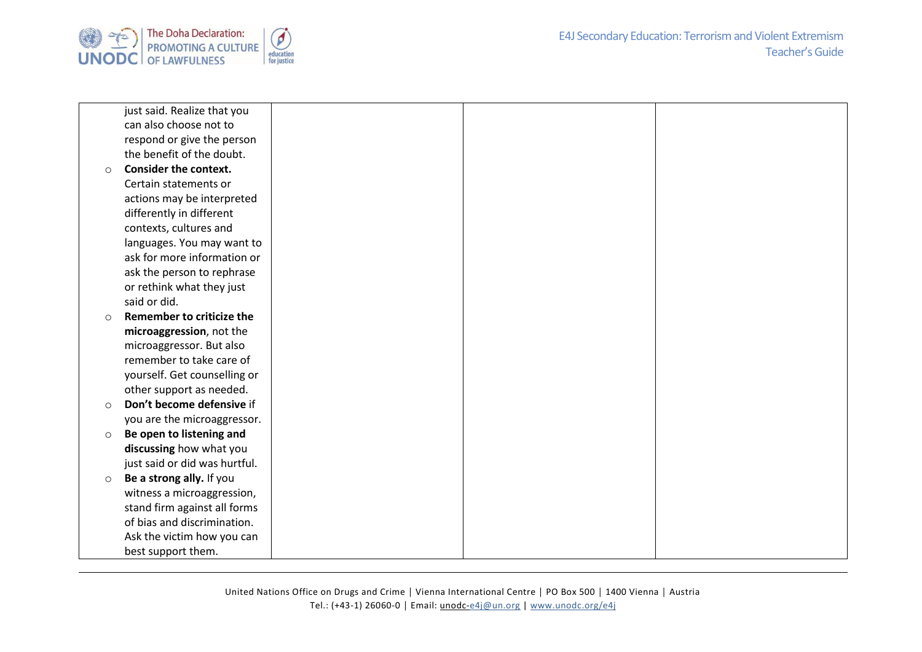

|         | just said. Realize that you   |
|---------|-------------------------------|
|         | can also choose not to        |
|         | respond or give the person    |
|         | the benefit of the doubt.     |
| $\circ$ | <b>Consider the context.</b>  |
|         | Certain statements or         |
|         | actions may be interpreted    |
|         | differently in different      |
|         | contexts, cultures and        |
|         | languages. You may want to    |
|         | ask for more information or   |
|         | ask the person to rephrase    |
|         | or rethink what they just     |
|         | said or did.                  |
| $\circ$ | Remember to criticize the     |
|         |                               |
|         | microaggression, not the      |
|         | microaggressor. But also      |
|         | remember to take care of      |
|         | yourself. Get counselling or  |
|         | other support as needed.      |
| $\circ$ | Don't become defensive if     |
|         | you are the microaggressor.   |
| $\circ$ | Be open to listening and      |
|         | discussing how what you       |
|         | just said or did was hurtful. |
| $\circ$ | Be a strong ally. If you      |
|         | witness a microaggression,    |
|         | stand firm against all forms  |
|         | of bias and discrimination.   |
|         | Ask the victim how you can    |
|         | best support them.            |